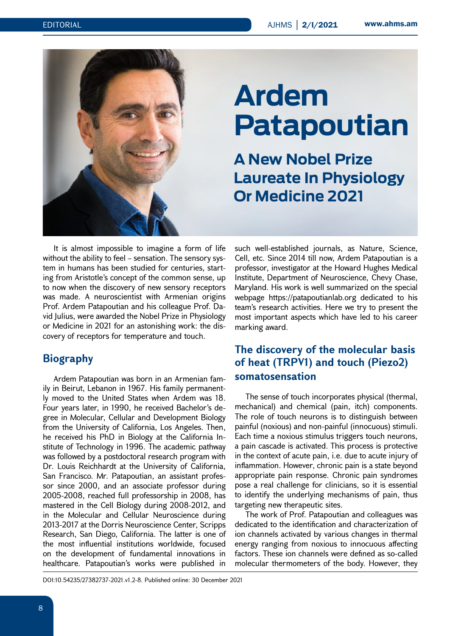

# **Ardem Patapoutian**

# **A New Nobel Prize Laureate In Physiology Or Medicine 2021**

It is almost impossible to imagine a form of life without the ability to feel – sensation. The sensory system in humans has been studied for centuries, starting from Aristotle's concept of the common sense, up to now when the discovery of new sensory receptors was made. A neuroscientist with Armenian origins Prof. Ardem Patapoutian and his colleague Prof. David Julius, were awarded the Nobel Prize in Physiology or Medicine in 2021 for an astonishing work: the discovery of receptors for temperature and touch.

## **Biography**

Ardem Patapoutian was born in an Armenian family in Beirut, Lebanon in 1967. His family permanently moved to the United States when Ardem was 18. Four years later, in 1990, he received Bachelor's degree in Molecular, Cellular and Development Biology from the University of California, Los Angeles. Then, he received his PhD in Biology at the California Institute of Technology in 1996. The academic pathway was followed by a postdoctoral research program with Dr. Louis Reichhardt at the University of California, San Francisco. Mr. Patapoutian, an assistant professor since 2000, and an associate professor during 2005-2008, reached full professorship in 2008, has mastered in the Cell Biology during 2008-2012, and in the Molecular and Cellular Neuroscience during 2013-2017 at the Dorris Neuroscience Center, Scripps Research, San Diego, California. The latter is one of the most influential institutions worldwide, focused on the development of fundamental innovations in healthcare. Patapoutian's works were published in

such well-established journals, as Nature, Science, Cell, etc. Since 2014 till now, Ardem Patapoutian is a professor, investigator at the Howard Hughes Medical Institute, Department of Neuroscience, Chevy Chase, Maryland. His work is well summarized on the special webpage https://patapoutianlab.org dedicated to his team's research activities. Here we try to present the most important aspects which have led to his career marking award.

# **The discovery of the molecular basis of heat (TRPV1) and touch (Piezo2) somatosensation**

The sense of touch incorporates physical (thermal, mechanical) and chemical (pain, itch) components. The role of touch neurons is to distinguish between painful (noxious) and non-painful (innocuous) stimuli. Each time a noxious stimulus triggers touch neurons, a pain cascade is activated. This process is protective in the context of acute pain, i.e. due to acute injury of inflammation. However, chronic pain is a state beyond appropriate pain response. Chronic pain syndromes pose a real challenge for clinicians, so it is essential to identify the underlying mechanisms of pain, thus targeting new therapeutic sites.

The work of Prof. Patapoutian and colleagues was dedicated to the identification and characterization of ion channels activated by various changes in thermal energy ranging from noxious to innocuous affecting factors. These ion channels were defined as so-called molecular thermometers of the body. However, they

DOI:10.54235/27382737-2021.v1.2-8. Published online: 30 December 2021